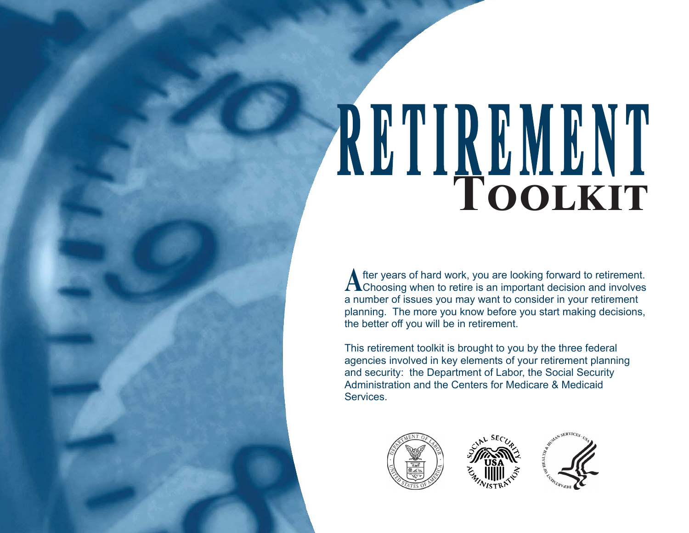# **RETIREMENT Toolkit**

A fter years of hard work, you are looking forward to retirement.<br>A Choosing when to retire is an important decision and involves a number of issues you may want to consider in your retirement planning. The more you know before you start making decisions, the better off you will be in retirement.

This retirement toolkit is brought to you by the three federal agencies involved in key elements of your retirement planning and security: the Department of Labor, the Social Security Administration and the Centers for Medicare & Medicaid Services.





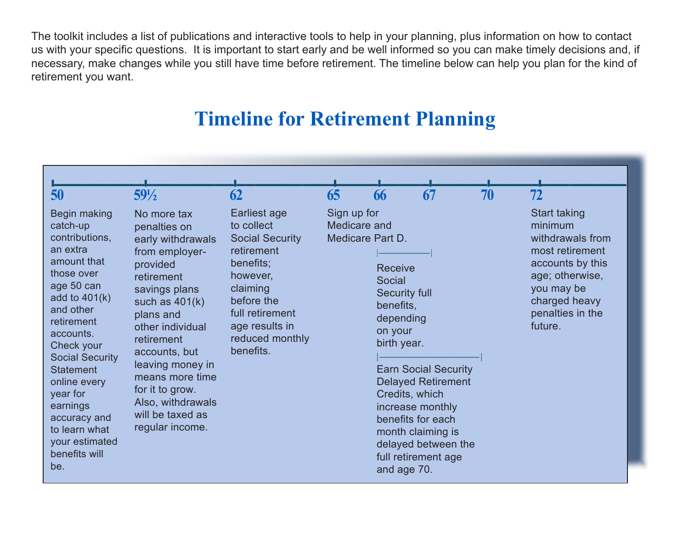The toolkit includes a list of publications and interactive tools to help in your planning, plus information on how to contact us with your specific questions. It is important to start early and be well informed so you can make timely decisions and, if necessary, make changes while you still have time before retirement. The timeline below can help you plan for the kind of retirement you want.

# **Timeline for Retirement Planning**

| 50                                                                                                                                                                                                                                                                                                                                          | $59\frac{1}{2}$                                                                                                                                                                                                                                                                                                         | 62                                                                                                                                                                                         | 65                                                     | 66                                                                                                                                    | 67                                                                                                                                                                   | 70 | 72                                                                                                                                                                         |
|---------------------------------------------------------------------------------------------------------------------------------------------------------------------------------------------------------------------------------------------------------------------------------------------------------------------------------------------|-------------------------------------------------------------------------------------------------------------------------------------------------------------------------------------------------------------------------------------------------------------------------------------------------------------------------|--------------------------------------------------------------------------------------------------------------------------------------------------------------------------------------------|--------------------------------------------------------|---------------------------------------------------------------------------------------------------------------------------------------|----------------------------------------------------------------------------------------------------------------------------------------------------------------------|----|----------------------------------------------------------------------------------------------------------------------------------------------------------------------------|
| Begin making<br>catch-up<br>contributions,<br>an extra<br>amount that<br>those over<br>age 50 can<br>add to $401(k)$<br>and other<br>retirement<br>accounts.<br>Check your<br><b>Social Security</b><br><b>Statement</b><br>online every<br>year for<br>earnings<br>accuracy and<br>to learn what<br>your estimated<br>benefits will<br>be. | No more tax<br>penalties on<br>early withdrawals<br>from employer-<br>provided<br>retirement<br>savings plans<br>such as $401(k)$<br>plans and<br>other individual<br>retirement<br>accounts, but<br>leaving money in<br>means more time<br>for it to grow.<br>Also, withdrawals<br>will be taxed as<br>regular income. | Earliest age<br>to collect<br><b>Social Security</b><br>retirement<br>benefits;<br>however,<br>claiming<br>before the<br>full retirement<br>age results in<br>reduced monthly<br>benefits. | Sign up for<br>Medicare and<br><b>Medicare Part D.</b> | <b>Receive</b><br>Social<br><b>Security full</b><br>benefits,<br>depending<br>on your<br>birth year.<br>Credits, which<br>and age 70. | <b>Earn Social Security</b><br><b>Delayed Retirement</b><br>increase monthly<br>benefits for each<br>month claiming is<br>delayed between the<br>full retirement age |    | <b>Start taking</b><br>minimum<br>withdrawals from<br>most retirement<br>accounts by this<br>age; otherwise,<br>you may be<br>charged heavy<br>penalties in the<br>future. |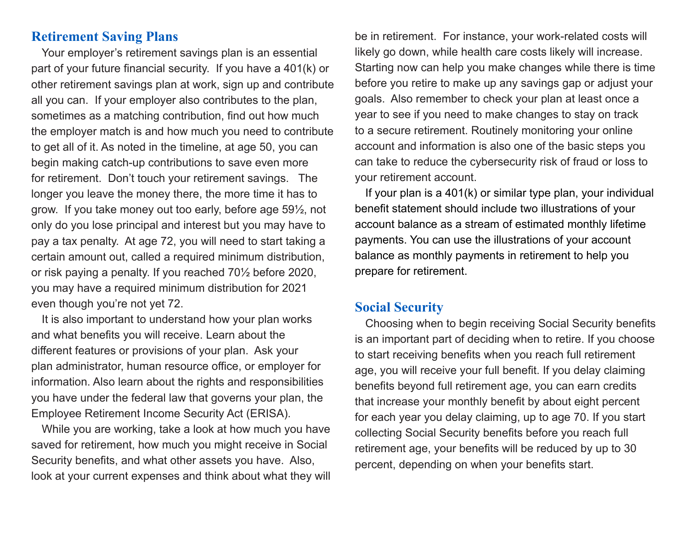### **Retirement Saving Plans**

Your employer's retirement savings plan is an essential part of your future financial security. If you have a 401(k) or other retirement savings plan at work, sign up and contribute all you can. If your employer also contributes to the plan, sometimes as a matching contribution, find out how much the employer match is and how much you need to contribute to get all of it. As noted in the timeline, at age 50, you can begin making catch-up contributions to save even more for retirement. Don't touch your retirement savings. The longer you leave the money there, the more time it has to grow. If you take money out too early, before age 59½, not only do you lose principal and interest but you may have to pay a tax penalty. At age 72, you will need to start taking a certain amount out, called a required minimum distribution, or risk paying a penalty. If you reached 70½ before 2020, you may have a required minimum distribution for 2021 even though you're not yet 72.

It is also important to understand how your plan works and what benefits you will receive. Learn about the different features or provisions of your plan. Ask your plan administrator, human resource office, or employer for information. Also learn about the rights and responsibilities you have under the federal law that governs your plan, the Employee Retirement Income Security Act (ERISA).

While you are working, take a look at how much you have saved for retirement, how much you might receive in Social Security benefits, and what other assets you have. Also, look at your current expenses and think about what they will be in retirement. For instance, your work-related costs will likely go down, while health care costs likely will increase. Starting now can help you make changes while there is time before you retire to make up any savings gap or adjust your goals. Also remember to check your plan at least once a year to see if you need to make changes to stay on track to a secure retirement. Routinely monitoring your online account and information is also one of the basic steps you can take to reduce the cybersecurity risk of fraud or loss to your retirement account.

If your plan is a 401(k) or similar type plan, your individual benefit statement should include two illustrations of your account balance as a stream of estimated monthly lifetime payments. You can use the illustrations of your account balance as monthly payments in retirement to help you prepare for retirement.

### **Social Security**

Choosing when to begin receiving Social Security benefits is an important part of deciding when to retire. If you choose to start receiving benefits when you reach full retirement age, you will receive your full benefit. If you delay claiming benefits beyond full retirement age, you can earn credits that increase your monthly benefit by about eight percent for each year you delay claiming, up to age 70. If you start collecting Social Security benefits before you reach full retirement age, your benefits will be reduced by up to 30 percent, depending on when your benefits start.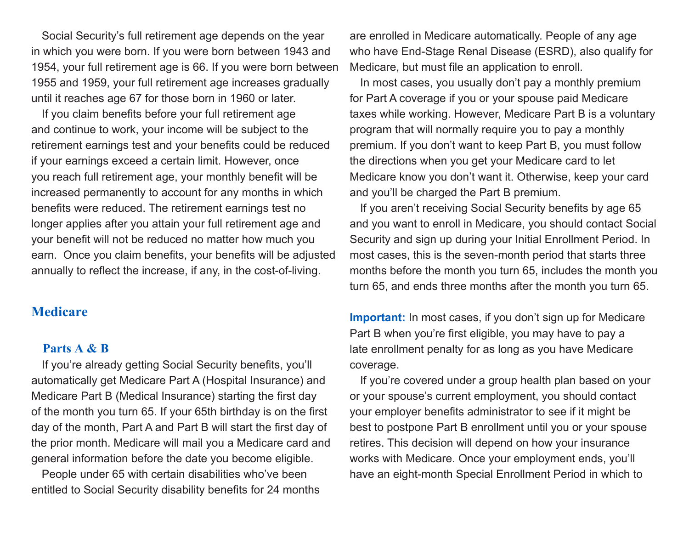Social Security's full retirement age depends on the year in which you were born. If you were born between 1943 and 1954, your full retirement age is 66. If you were born between 1955 and 1959, your full retirement age increases gradually until it reaches age 67 for those born in 1960 or later.

If you claim benefits before your full retirement age and continue to work, your income will be subject to the retirement earnings test and your benefits could be reduced if your earnings exceed a certain limit. However, once you reach full retirement age, your monthly benefit will be increased permanently to account for any months in which benefits were reduced. The retirement earnings test no longer applies after you attain your full retirement age and your benefit will not be reduced no matter how much you earn. Once you claim benefits, your benefits will be adjusted annually to reflect the increase, if any, in the cost-of-living.

# **Medicare**

### **Parts A & B**

If you're already getting Social Security benefits, you'll automatically get Medicare Part A (Hospital Insurance) and Medicare Part B (Medical Insurance) starting the first day of the month you turn 65. If your 65th birthday is on the first day of the month, Part A and Part B will start the first day of the prior month. Medicare will mail you a Medicare card and general information before the date you become eligible.

People under 65 with certain disabilities who've been entitled to Social Security disability benefits for 24 months are enrolled in Medicare automatically. People of any age who have End-Stage Renal Disease (ESRD), also qualify for Medicare, but must file an application to enroll.

In most cases, you usually don't pay a monthly premium for Part A coverage if you or your spouse paid Medicare taxes while working. However, Medicare Part B is a voluntary program that will normally require you to pay a monthly premium. If you don't want to keep Part B, you must follow the directions when you get your Medicare card to let Medicare know you don't want it. Otherwise, keep your card and you'll be charged the Part B premium.

If you aren't receiving Social Security benefits by age 65 and you want to enroll in Medicare, you should contact Social Security and sign up during your Initial Enrollment Period. In most cases, this is the seven-month period that starts three months before the month you turn 65, includes the month you turn 65, and ends three months after the month you turn 65.

**Important:** In most cases, if you don't sign up for Medicare Part B when you're first eligible, you may have to pay a late enrollment penalty for as long as you have Medicare coverage.

If you're covered under a group health plan based on your or your spouse's current employment, you should contact your employer benefits administrator to see if it might be best to postpone Part B enrollment until you or your spouse retires. This decision will depend on how your insurance works with Medicare. Once your employment ends, you'll have an eight-month Special Enrollment Period in which to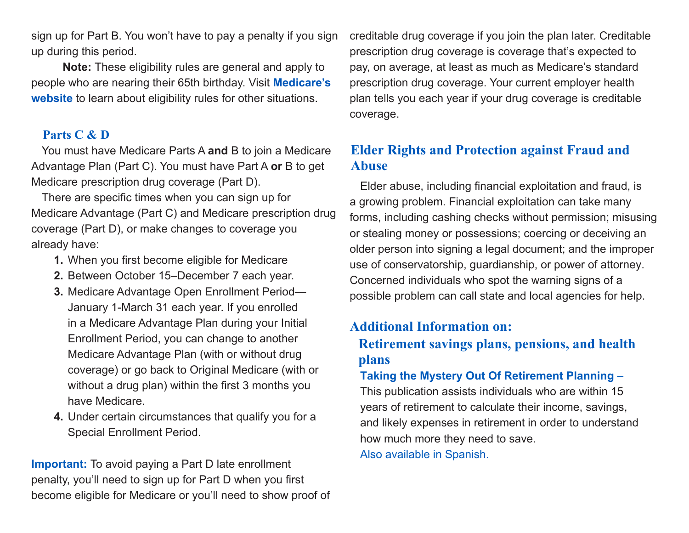sign up for Part B. You won't have to pay a penalty if you sign up during this period.

**Note:** These eligibility rules are general and apply to people who are nearing their 65th birthday. Visit **[Medicare's](http://www.medicare.gov)  [website](http://www.medicare.gov)** to learn about eligibility rules for other situations.

# **Parts C & D**

You must have Medicare Parts A **and** B to join a Medicare Advantage Plan (Part C). You must have Part A **or** B to get Medicare prescription drug coverage (Part D).

There are specific times when you can sign up for Medicare Advantage (Part C) and Medicare prescription drug coverage (Part D), or make changes to coverage you already have:

- **1.** When you first become eligible for Medicare
- **2.** Between October 15–December 7 each year.
- **3.** Medicare Advantage Open Enrollment Period— January 1-March 31 each year. If you enrolled in a Medicare Advantage Plan during your Initial Enrollment Period, you can change to another Medicare Advantage Plan (with or without drug coverage) or go back to Original Medicare (with or without a drug plan) within the first 3 months you have Medicare.
- Special Enrollment Period. **4.** Under certain circumstances that qualify you for a

**Important:** To avoid paying a Part D late enrollment penalty, you'll need to sign up for Part D when you first become eligible for Medicare or you'll need to show proof of creditable drug coverage if you join the plan later. Creditable prescription drug coverage is coverage that's expected to pay, on average, at least as much as Medicare's standard prescription drug coverage. Your current employer health plan tells you each year if your drug coverage is creditable coverage.

# **Elder Rights and Protection against Fraud and Abuse**

Elder abuse, including financial exploitation and fraud, is a growing problem. Financial exploitation can take many forms, including cashing checks without permission; misusing or stealing money or possessions; coercing or deceiving an older person into signing a legal document; and the improper use of conservatorship, guardianship, or power of attorney. Concerned individuals who spot the warning signs of a possible problem can call state and local agencies for help.

# **Additional Information on:**

# **Retirement savings plans, pensions, and health plans**

## **[Taking the Mystery Out Of Retirement Planning](https://www.dol.gov/sites/dolgov/files/EBSA/about-ebsa/our-activities/resource-center/publications/taking-the-mystery-out-of-retirement-planning.pdf) –**

This publication assists individuals who are within 15 years of retirement to calculate their income, savings, and likely expenses in retirement in order to understand how much more they need to save. [Also available in Spanish.](https://www.dol.gov/sites/dolgov/files/EBSA/about-ebsa/our-activities/resource-center/publications/taking-the-mystery-out-of-retirement-planning-spanish.pdf)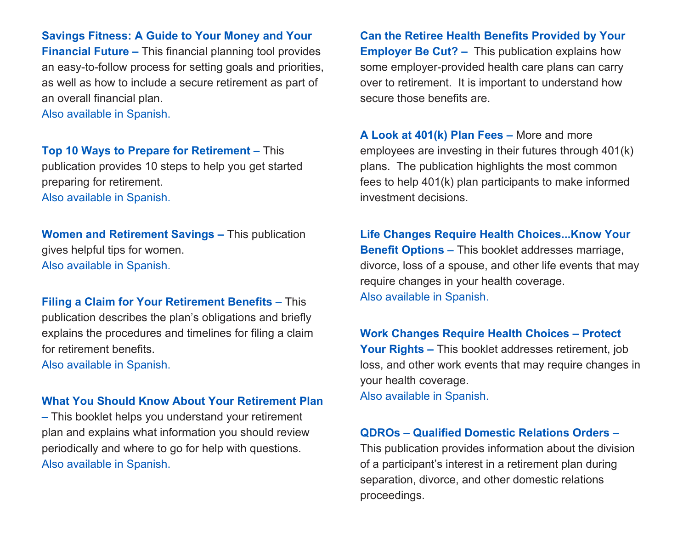### **[Savings Fitness: A Guide to Your Money and Your](https://www.dol.gov/sites/dolgov/files/EBSA/about-ebsa/our-activities/resource-center/publications/savings-fitness.pdf)**

**[Financial Future](https://www.dol.gov/sites/dolgov/files/EBSA/about-ebsa/our-activities/resource-center/publications/savings-fitness.pdf) –** This financial planning tool provides an easy-to-follow process for setting goals and priorities, as well as how to include a secure retirement as part of an overall financial plan.

[Also available in Spanish.](https://www.dol.gov/sites/dolgov/files/EBSA/about-ebsa/our-activities/resource-center/publications/savings-fitness-spanish.pdf) 

### **[Top 10 Ways to Prepare for Retirement](https://www.dol.gov/sites/dolgov/files/EBSA/about-ebsa/our-activities/resource-center/publications/top-10-ways-to-prepare-for-retirement.pdf) –** This

publication provides 10 steps to help you get started preparing for retirement. [Also available in Spanish.](https://www.dol.gov/sites/dolgov/files/EBSA/about-ebsa/our-activities/resource-center/publications/top-10-ways-to-prepare-for-retirement-spanish.pdf) 

**[Women and Retirement Savings](https://www.dol.gov/sites/dolgov/files/EBSA/about-ebsa/our-activities/resource-center/publications/women-and-retirement-savings.pdf) –** This publication gives helpful tips for women. [Also available in Spanish.](https://www.dol.gov/sites/dolgov/files/EBSA/about-ebsa/our-activities/resource-center/publications/women-and-retirement-savings-spanish.pdf)

 [Also available in Spanish.](https://www.dol.gov/sites/dolgov/files/EBSA/about-ebsa/our-activities/resource-center/publications/filing-a-claim-for-your-retirement-benefits-spanish.pdf) **Filing a [Claim for Your Retirement Benefits](https://www.dol.gov/sites/dolgov/files/EBSA/about-ebsa/our-activities/resource-center/publications/filing-a-claim-for-your-retirement-benefits.pdf) –** This publication describes the plan's obligations and briefly explains the procedures and timelines for filing a claim for retirement benefits.

### **[What You Should Know About Your Retirement Plan](https://www.dol.gov/sites/dolgov/files/EBSA/about-ebsa/our-activities/resource-center/publications/what-you-should-know-about-your-retirement-plan.pdf)**

 [Also available in Spanish.](https://www.dol.gov/sites/dolgov/files/EBSA/about-ebsa/our-activities/resource-center/publications/what-you-should-know-about-your-retirement-plan-spanish.pdf) **–** This booklet helps you understand your retirement plan and explains what information you should review periodically and where to go for help with questions.

**[Can the Retiree Health Benefits Provided by Your](https://www.dol.gov/sites/dolgov/files/EBSA/about-ebsa/our-activities/resource-center/publications/can-the-retiree-health-benefits-be-cut.pdf)  [Employer Be Cut?](https://www.dol.gov/sites/dolgov/files/EBSA/about-ebsa/our-activities/resource-center/publications/can-the-retiree-health-benefits-be-cut.pdf) – This publication explains how** some employer-provided health care plans can carry over to retirement. It is important to understand how secure those benefits are.

**[A Look at 401\(k\) Plan Fees](https://www.dol.gov/sites/dolgov/files/EBSA/about-ebsa/our-activities/resource-center/publications/a-look-at-401k-plan-fees.pdf) –** More and more employees are investing in their futures through 401(k) plans. The publication highlights the most common fees to help 401(k) plan participants to make informed investment decisions.

**[Life Changes Require Health Choices...Know Your](https://www.dol.gov/sites/dolgov/files/EBSA/about-ebsa/our-activities/resource-center/publications/life-changes-require-health-choices.pdf)  [Benefit Options](https://www.dol.gov/sites/dolgov/files/EBSA/about-ebsa/our-activities/resource-center/publications/life-changes-require-health-choices.pdf) –** This booklet addresses marriage, divorce, loss of a spouse, and other life events that may require changes in your health coverage. [Also available in Spanish.](https://www.dol.gov/sites/dolgov/files/EBSA/about-ebsa/our-activities/resource-center/publications/life-changes-require-health-choices-spanish.pdf) 

**[Work Changes Require Health Choices – Protect](https://www.dol.gov/sites/dolgov/files/EBSA/about-ebsa/our-activities/resource-center/publications/work-changes-require-health-choices.pdf)  [Your Rights](https://www.dol.gov/sites/dolgov/files/EBSA/about-ebsa/our-activities/resource-center/publications/work-changes-require-health-choices.pdf) –** This booklet addresses retirement, job loss, and other work events that may require changes in your health coverage.

[Also available in Spanish.](https://www.dol.gov/sites/dolgov/files/EBSA/about-ebsa/our-activities/resource-center/publications/work-changes-require-health-choices-spanish.pdf)

### **[QDROs – Qualified Domestic Relations Orders](https://www.dol.gov/sites/dolgov/files/EBSA/about-ebsa/our-activities/resource-center/publications/qdros.pdf) –**

This publication provides information about the division of a participant's interest in a retirement plan during separation, divorce, and other domestic relations proceedings.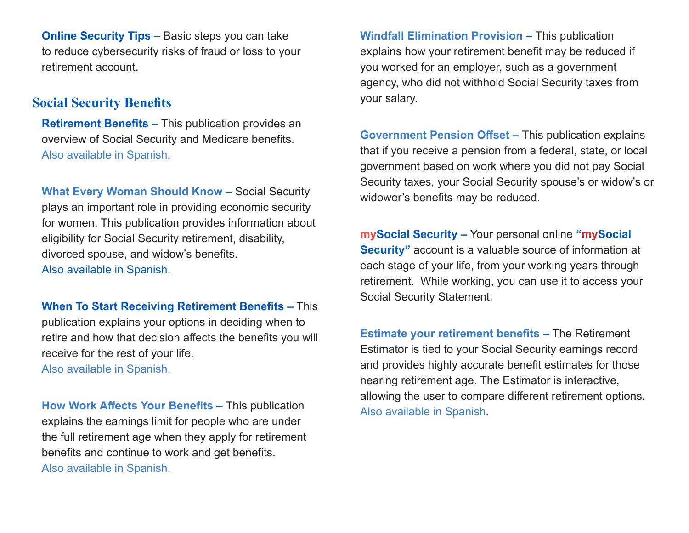**[Online Security Tips](https://www.dol.gov/sites/dolgov/files/ebsa/key-topics/retirement-benefits/cybersecurity/online-security-tips.pdf)** – Basic steps you can take to reduce cybersecurity risks of fraud or loss to your retirement account.

### **Social Security Benefits**

**[Retirement Benefits](http://www.socialsecurity.gov/pubs/EN-05-10035.pdf) –** This publication provides an overview of Social Security and Medicare benefits. [Also available in Spanish](http://www.socialsecurity.gov/pubs/ES-05-10935.pdf).

**[What Every Woman Should Know](https://www.ssa.gov/pubs/EN-05-10127.pdf) - Social Security** plays an important role in providing economic security for women. This publication provides information about eligibility for Social Security retirement, disability, divorced spouse, and widow's benefits. [Also available in Spanish.](http://www.socialsecurity.gov/pubs/ES-05-10927.pdf) 

**[When To Start Receiving Retirement Benefits](http://www.socialsecurity.gov/pubs/EN-05-10147.pdf) –** This publication explains your options in deciding when to retire and how that decision affects the benefits you will receive for the rest of your life. [Also available in Spanish.](http://www.socialsecurity.gov/pubs/ES-05-10148.pdf) 

**[How Work Affects Your Benefits](http://www.socialsecurity.gov/pubs/EN-05-10069.pdf) –** This publication explains the earnings limit for people who are under the full retirement age when they apply for retirement benefits and continue to work and get benefits. [Also available in Spanish.](http://www.socialsecurity.gov/pubs/ES-05-10969.pdf)

**[Windfall Elimination Provision](http://www.socialsecurity.gov/pubs/EN-05-10045.pdf) –** This publication explains how your retirement benefit may be reduced if you worked for an employer, such as a government agency, who did not withhold Social Security taxes from your salary.

**[Government Pension Offset](http://www.socialsecurity.gov/pubs/EN-05-10007.pdf) –** This publication explains that if you receive a pension from a federal, state, or local government based on work where you did not pay Social Security taxes, your Social Security spouse's or widow's or widower's benefits may be reduced.

**[mySocial Security](http://www.socialsecurity.gov/myaccount) –** Your personal online **"mySocial Security"** account is a valuable source of information at each stage of your life, from your working years through retirement. While working, you can use it to access your Social Security Statement.

**[Estimate your retirement benefits](https://www.ssa.gov/benefits/retirement/estimator.html) –** The Retirement Estimator is tied to your Social Security earnings record and provides highly accurate benefit estimates for those nearing retirement age. The Estimator is interactive, allowing the user to compare different retirement options. [Also available in Spanish](http://www.socialsecurity.gov/espanol/jubilacion2/calculadora.html).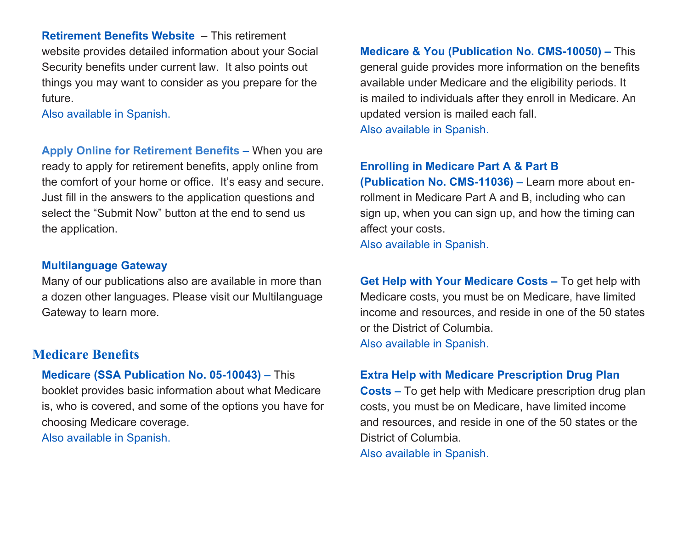**[Retirement Benefits Website](http://www.socialsecurity.gov/retire2)** – This retirement website provides detailed information about your Social Security benefits under current law. It also points out things you may want to consider as you prepare for the future.

[Also available in Spanish.](http://www.socialsecurity.gov/espanol/jubilacion2)

**[Apply Online for Retirement Benefits](www.socialsecurity.gov/retireonline) –** When you are ready to apply for retirement benefits, apply online from the comfort of your home or office. It's easy and secure. Just fill in the answers to the application questions and select the "Submit Now" button at the end to send us the application.

### **[Multilanguage Gateway](http://www.socialsecurity.gov/multilanguage)**

Many of our publications also are available in more than a dozen other languages. Please visit our Multilanguage Gateway to learn more.

# **Medicare Benefits**

**[Medicare \(SSA Publication No. 05-10043\)](http://www.socialsecurity.gov/pubs/EN-05-10043.pdf) –** This booklet provides basic information about what Medicare is, who is covered, and some of the options you have for choosing Medicare coverage. [Also available in Spanish.](http://www.socialsecurity.gov/pubs/ES-05-10943.pdf)

**[Medicare & You \(Publication No. CMS-10050\)](http://www.medicare.gov/Pubs/pdf/10050-Medicare-and-You.pdf) –** This general guide provides more information on the benefits available under Medicare and the eligibility periods. It is mailed to individuals after they enroll in Medicare. An updated version is mailed each fall.

[Also available in Spanish.](http://www.medicare.gov/Pubs/pdf/10050-S-Medicare-and-You.pdf) 

### **[Enrolling in Medicare Part A & Part B](http://www.medicare.gov/Pubs/pdf/11036-Enrolling-Part-A-Part-B.pdf)**

**[\(Publication No. CMS-11036\) –](http://www.medicare.gov/Pubs/pdf/11036-Enrolling-Part-A-Part-B.pdf)** Learn more about enrollment in Medicare Part A and B, including who can sign up, when you can sign up, and how the timing can affect your costs. [Also available in Spanish.](http://www.medicare.gov/Pubs/pdf/11036-S-Enrolling-Part-A-Part-B.pdf)

**[Get Help with Your Medicare Costs](http://www.medicare.gov/Pubs/pdf/10126-Getting-Help-With-Your-Medicare-Costs.pdf) –** To get help with Medicare costs, you must be on Medicare, have limited income and resources, and reside in one of the 50 states or the District of Columbia. [Also available in Spanish.](http://www.medicare.gov/Pubs/pdf/10126-S-Get-Help-With-Medicare-Cost.pdf)

### **[Extra Help with Medicare Prescription Drug Plan](http://www.socialsecurity.gov/medicare/prescriptionhelp)**

**[Costs](http://www.socialsecurity.gov/medicare/prescriptionhelp) –** To get help with Medicare prescription drug plan costs, you must be on Medicare, have limited income and resources, and reside in one of the 50 states or the District of Columbia. [Also available in Spanish.](http://www.socialsecurity.gov/espanol/medicare-es/medicamentos)